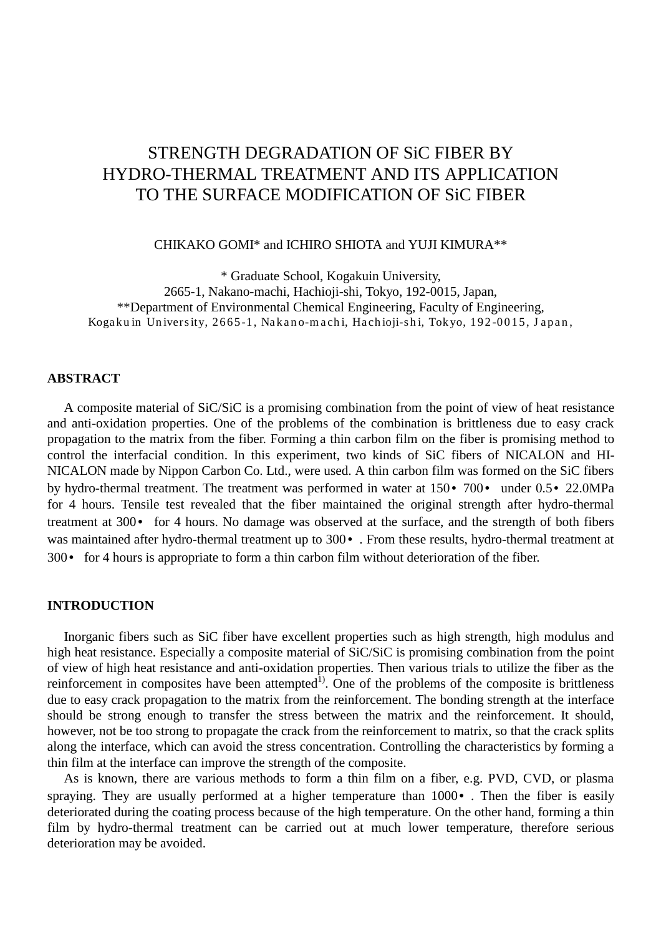# STRENGTH DEGRADATION OF SiC FIBER BY HYDRO-THERMAL TREATMENT AND ITS APPLICATION TO THE SURFACE MODIFICATION OF SiC FIBER

CHIKAKO GOMI\* and ICHIRO SHIOTA and YUJI KIMURA\*\*

\* Graduate School, Kogakuin University, 2665-1, Nakano-machi, Hachioji-shi, Tokyo, 192-0015, Japan, \*\*Department of Environmental Chemical Engineering, Faculty of Engineering, Kogaku in University, 2665-1, Nakano-machi, Hachioji-shi, Tokyo, 192-0015, Japan,

### **ABSTRACT**

A composite material of SiC/SiC is a promising combination from the point of view of heat resistance and anti-oxidation properties. One of the problems of the combination is brittleness due to easy crack propagation to the matrix from the fiber. Forming a thin carbon film on the fiber is promising method to control the interfacial condition. In this experiment, two kinds of SiC fibers of NICALON and HI-NICALON made by Nippon Carbon Co. Ltd., were used. A thin carbon film was formed on the SiC fibers by hydro-thermal treatment. The treatment was performed in water at 150• 700• under 0.5• 22.0MPa for 4 hours. Tensile test revealed that the fiber maintained the original strength after hydro-thermal treatment at 300• for 4 hours. No damage was observed at the surface, and the strength of both fibers was maintained after hydro-thermal treatment up to 300 $\cdot$ . From these results, hydro-thermal treatment at 300• for 4 hours is appropriate to form a thin carbon film without deterioration of the fiber.

#### **INTRODUCTION**

 Inorganic fibers such as SiC fiber have excellent properties such as high strength, high modulus and high heat resistance. Especially a composite material of SiC/SiC is promising combination from the point of view of high heat resistance and anti-oxidation properties. Then various trials to utilize the fiber as the reinforcement in composites have been attempted<sup>1)</sup>. One of the problems of the composite is brittleness due to easy crack propagation to the matrix from the reinforcement. The bonding strength at the interface should be strong enough to transfer the stress between the matrix and the reinforcement. It should, however, not be too strong to propagate the crack from the reinforcement to matrix, so that the crack splits along the interface, which can avoid the stress concentration. Controlling the characteristics by forming a thin film at the interface can improve the strength of the composite.

 As is known, there are various methods to form a thin film on a fiber, e.g. PVD, CVD, or plasma spraying. They are usually performed at a higher temperature than 1000 $\cdot$ . Then the fiber is easily deteriorated during the coating process because of the high temperature. On the other hand, forming a thin film by hydro-thermal treatment can be carried out at much lower temperature, therefore serious deterioration may be avoided.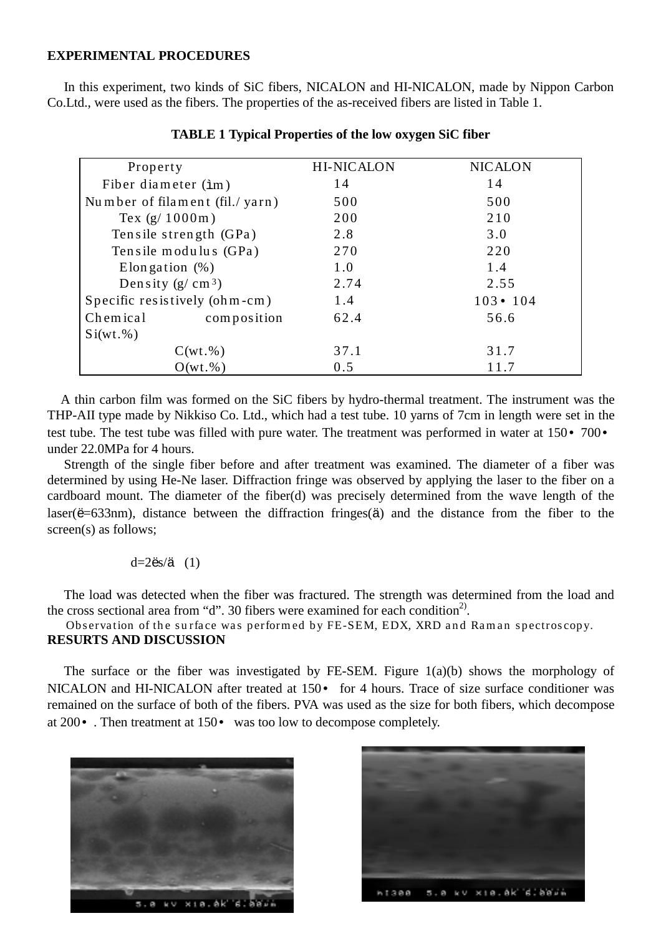## **EXPERIMENTAL PROCEDURES**

 In this experiment, two kinds of SiC fibers, NICALON and HI-NICALON, made by Nippon Carbon Co.Ltd., were used as the fibers. The properties of the as-received fibers are listed in Table 1.

| Property                       | <b>HI-NICALON</b> | <b>NICALON</b>  |
|--------------------------------|-------------------|-----------------|
| Fiber diameter $(\text{im})$   | 14                | 14              |
| Number of filament (fil./yarn) | 500               | 500             |
| Tex $(g/1000m)$                | 200               | 210             |
| Tensile strength (GPa)         | 2.8               | 3.0             |
| Tensile modulus (GPa)          | 270               | 220             |
| Elongation $(\%)$              | 1.0               | 1.4             |
| Density $(g/cm3)$              | 2.74              | 2.55            |
| Specific resistively (ohm-cm)  | 1.4               | $103 \cdot 104$ |
| composition<br>Chemical        | 62.4              | 56.6            |
| $Si(wt.\%)$                    |                   |                 |
| $C(wt.\%)$                     | 37.1              | 31.7            |
| $O(wt.\%)$                     | 0.5               | 11.7            |

**TABLE 1 Typical Properties of the low oxygen SiC fiber**

 A thin carbon film was formed on the SiC fibers by hydro-thermal treatment. The instrument was the THP-AII type made by Nikkiso Co. Ltd., which had a test tube. 10 yarns of 7cm in length were set in the test tube. The test tube was filled with pure water. The treatment was performed in water at 150• 700• under 22.0MPa for 4 hours.

 Strength of the single fiber before and after treatment was examined. The diameter of a fiber was determined by using He-Ne laser. Diffraction fringe was observed by applying the laser to the fiber on a cardboard mount. The diameter of the fiber(d) was precisely determined from the wave length of the laser(ë=633nm), distance between the diffraction fringes(ä) and the distance from the fiber to the screen(s) as follows:

#### d=2ës/ä (1)

 The load was detected when the fiber was fractured. The strength was determined from the load and the cross sectional area from "d". 30 fibers were examined for each condition<sup>2)</sup>.

Observation of the surface was performed by FE-SEM, EDX, XRD and Raman spectroscopy. **RESURTS AND DISCUSSION**

 The surface or the fiber was investigated by FE-SEM. Figure 1(a)(b) shows the morphology of NICALON and HI-NICALON after treated at 150 $\cdot$  for 4 hours. Trace of size surface conditioner was remained on the surface of both of the fibers. PVA was used as the size for both fibers, which decompose at 200• . Then treatment at 150• was too low to decompose completely.



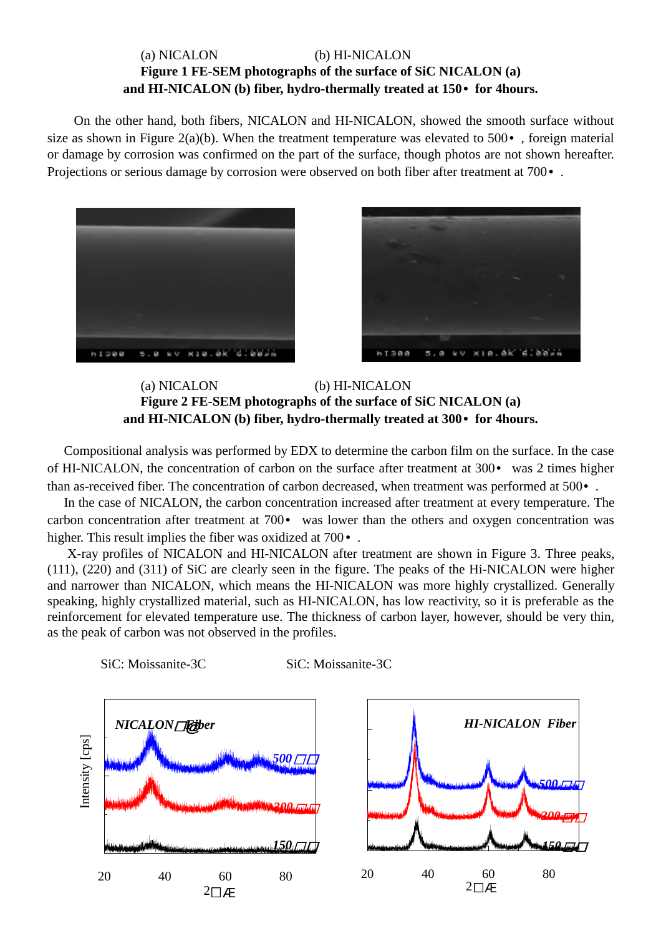# (a) NICALON (b) HI-NICALON **Figure 1 FE-SEM photographs of the surface of SiC NICALON (a) and HI-NICALON (b) fiber, hydro-thermally treated at 150• for 4hours.**

On the other hand, both fibers, NICALON and HI-NICALON, showed the smooth surface without size as shown in Figure 2(a)(b). When the treatment temperature was elevated to  $500\bullet$ , foreign material or damage by corrosion was confirmed on the part of the surface, though photos are not shown hereafter. Projections or serious damage by corrosion were observed on both fiber after treatment at 700 $\cdot$ .





(a) NICALON (b) HI-NICALON **Figure 2 FE-SEM photographs of the surface of SiC NICALON (a) and HI-NICALON (b) fiber, hydro-thermally treated at 300• for 4hours.**

 Compositional analysis was performed by EDX to determine the carbon film on the surface. In the case of HI-NICALON, the concentration of carbon on the surface after treatment at 300• was 2 times higher than as-received fiber. The concentration of carbon decreased, when treatment was performed at 500• .

 In the case of NICALON, the carbon concentration increased after treatment at every temperature. The carbon concentration after treatment at 700• was lower than the others and oxygen concentration was higher. This result implies the fiber was oxidized at 700 $\cdot$ .

 X-ray profiles of NICALON and HI-NICALON after treatment are shown in Figure 3. Three peaks, (111), (220) and (311) of SiC are clearly seen in the figure. The peaks of the Hi-NICALON were higher and narrower than NICALON, which means the HI-NICALON was more highly crystallized. Generally speaking, highly crystallized material, such as HI-NICALON, has low reactivity, so it is preferable as the reinforcement for elevated temperature use. The thickness of carbon layer, however, should be very thin, as the peak of carbon was not observed in the profiles.

SiC: Moissanite-3C SiC: Moissanite-3C



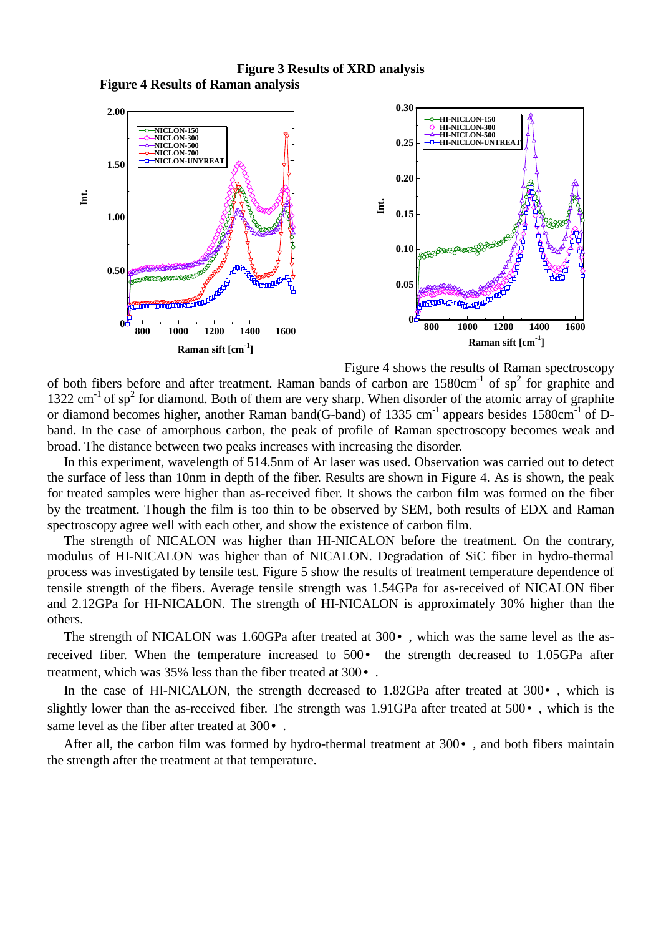**Figure 3 Results of XRD analysis Figure 4 Results of Raman analysis**



Figure 4 shows the results of Raman spectroscopy

of both fibers before and after treatment. Raman bands of carbon are  $1580 \text{cm}^{-1}$  of sp<sup>2</sup> for graphite and 1322 cm<sup>-1</sup> of sp<sup>2</sup> for diamond. Both of them are very sharp. When disorder of the atomic array of graphite or diamond becomes higher, another Raman band(G-band) of 1335 cm<sup>-1</sup> appears besides 1580cm<sup>-1</sup> of Dband. In the case of amorphous carbon, the peak of profile of Raman spectroscopy becomes weak and broad. The distance between two peaks increases with increasing the disorder.

 In this experiment, wavelength of 514.5nm of Ar laser was used. Observation was carried out to detect the surface of less than 10nm in depth of the fiber. Results are shown in Figure 4. As is shown, the peak for treated samples were higher than as-received fiber. It shows the carbon film was formed on the fiber by the treatment. Though the film is too thin to be observed by SEM, both results of EDX and Raman spectroscopy agree well with each other, and show the existence of carbon film.

 The strength of NICALON was higher than HI-NICALON before the treatment. On the contrary, modulus of HI-NICALON was higher than of NICALON. Degradation of SiC fiber in hydro-thermal process was investigated by tensile test. Figure 5 show the results of treatment temperature dependence of tensile strength of the fibers. Average tensile strength was 1.54GPa for as-received of NICALON fiber and 2.12GPa for HI-NICALON. The strength of HI-NICALON is approximately 30% higher than the others.

The strength of NICALON was 1.60GPa after treated at 300 $\cdot$ , which was the same level as the asreceived fiber. When the temperature increased to 500• the strength decreased to 1.05GPa after treatment, which was 35% less than the fiber treated at 300• .

In the case of HI-NICALON, the strength decreased to 1.82GPa after treated at 300 $\cdot$ , which is slightly lower than the as-received fiber. The strength was 1.91GPa after treated at 500• , which is the same level as the fiber after treated at 300 $\cdot$ .

 After all, the carbon film was formed by hydro-thermal treatment at 300• , and both fibers maintain the strength after the treatment at that temperature.